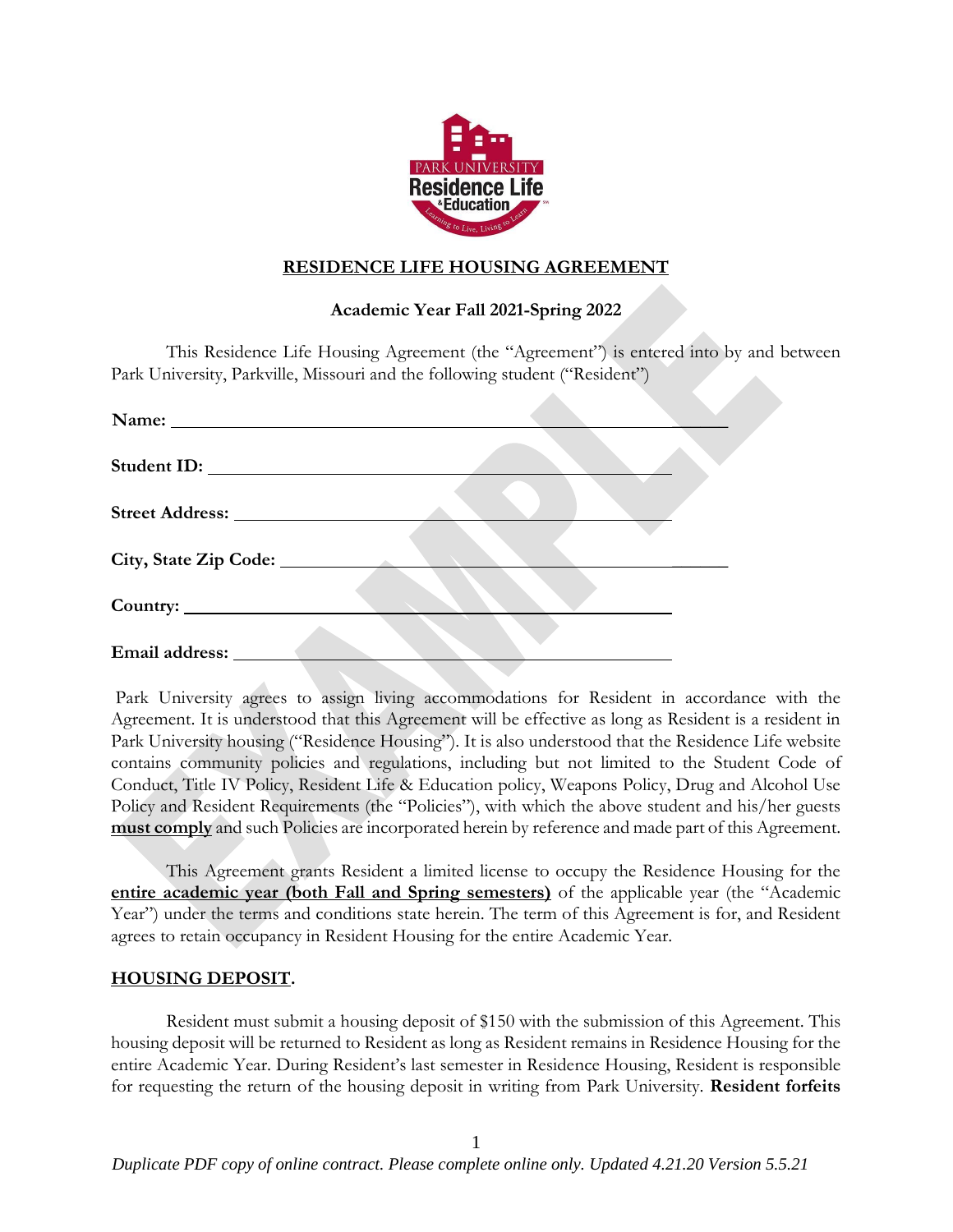

# **RESIDENCE LIFE HOUSING AGREEMENT**

# **Academic Year Fall 2021-Spring 2022**

This Residence Life Housing Agreement (the "Agreement") is entered into by and between Park University, Parkville, Missouri and the following student ("Resident")

| Email address: No. 1996 |  |
|-------------------------|--|

Park University agrees to assign living accommodations for Resident in accordance with the Agreement. It is understood that this Agreement will be effective as long as Resident is a resident in Park University housing ("Residence Housing"). It is also understood that the Residence Life website contains community policies and regulations, including but not limited to the Student Code of Conduct, Title IV Policy, Resident Life & Education policy, Weapons Policy, Drug and Alcohol Use Policy and Resident Requirements (the "Policies"), with which the above student and his/her guests **must comply** and such Policies are incorporated herein by reference and made part of this Agreement.

This Agreement grants Resident a limited license to occupy the Residence Housing for the **entire academic year (both Fall and Spring semesters)** of the applicable year (the "Academic Year") under the terms and conditions state herein. The term of this Agreement is for, and Resident agrees to retain occupancy in Resident Housing for the entire Academic Year.

# **HOUSING DEPOSIT.**

Resident must submit a housing deposit of \$150 with the submission of this Agreement. This housing deposit will be returned to Resident as long as Resident remains in Residence Housing for the entire Academic Year. During Resident's last semester in Residence Housing, Resident is responsible for requesting the return of the housing deposit in writing from Park University. **Resident forfeits**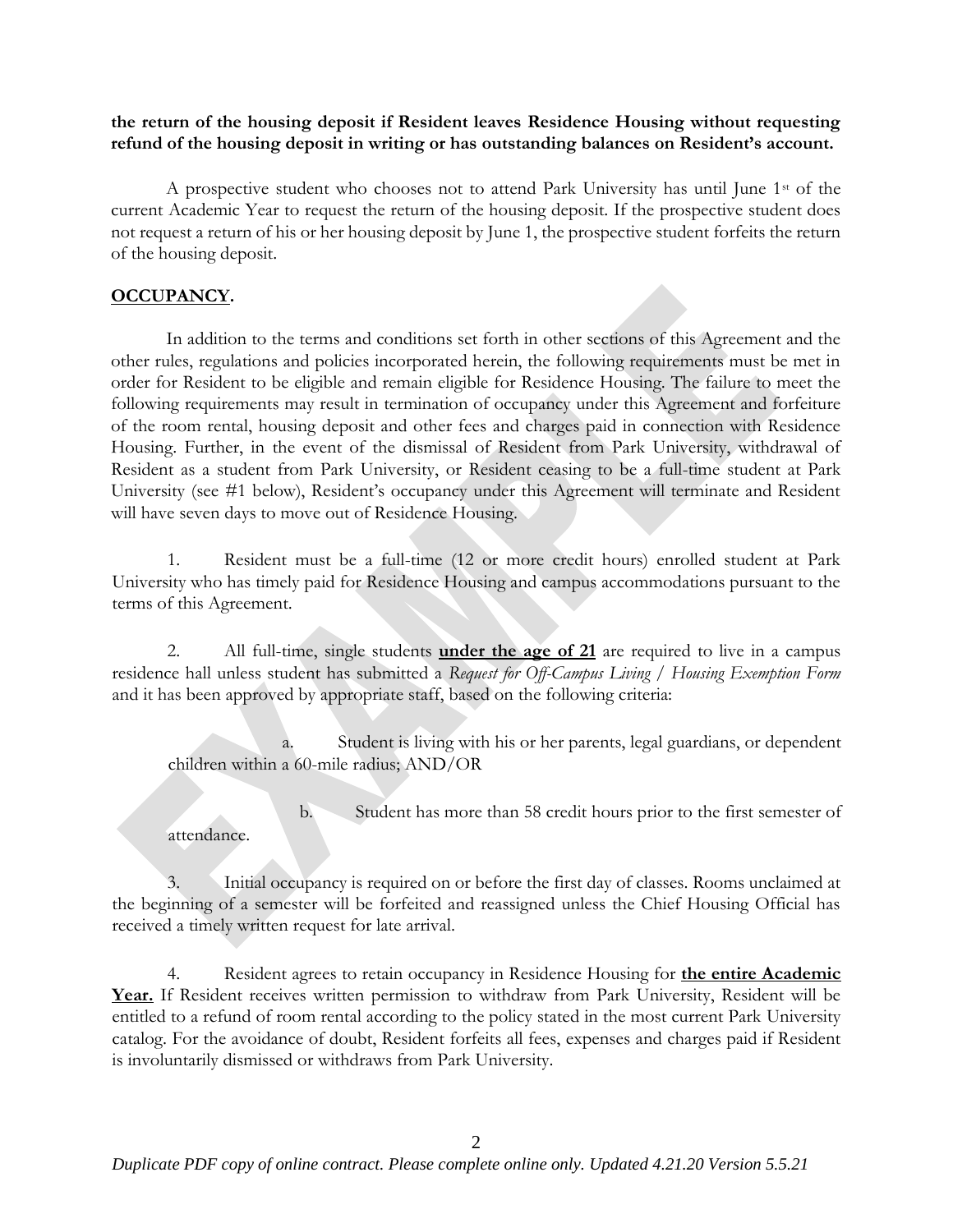**the return of the housing deposit if Resident leaves Residence Housing without requesting refund of the housing deposit in writing or has outstanding balances on Resident's account.**

A prospective student who chooses not to attend Park University has until June  $1<sup>st</sup>$  of the current Academic Year to request the return of the housing deposit. If the prospective student does not request a return of his or her housing deposit by June 1, the prospective student forfeits the return of the housing deposit.

# **OCCUPANCY.**

In addition to the terms and conditions set forth in other sections of this Agreement and the other rules, regulations and policies incorporated herein, the following requirements must be met in order for Resident to be eligible and remain eligible for Residence Housing. The failure to meet the following requirements may result in termination of occupancy under this Agreement and forfeiture of the room rental, housing deposit and other fees and charges paid in connection with Residence Housing. Further, in the event of the dismissal of Resident from Park University, withdrawal of Resident as a student from Park University, or Resident ceasing to be a full-time student at Park University (see #1 below), Resident's occupancy under this Agreement will terminate and Resident will have seven days to move out of Residence Housing.

1. Resident must be a full-time (12 or more credit hours) enrolled student at Park University who has timely paid for Residence Housing and campus accommodations pursuant to the terms of this Agreement.

2. All full-time, single students **under the age of 21** are required to live in a campus residence hall unless student has submitted a *Request for Off-Campus Living / Housing Exemption Form* and it has been approved by appropriate staff, based on the following criteria:

Student is living with his or her parents, legal guardians, or dependent children within a 60-mile radius; AND/OR

b. Student has more than 58 credit hours prior to the first semester of attendance.

3. Initial occupancy is required on or before the first day of classes. Rooms unclaimed at the beginning of a semester will be forfeited and reassigned unless the Chief Housing Official has received a timely written request for late arrival.

4. Resident agrees to retain occupancy in Residence Housing for **the entire Academic** Year. If Resident receives written permission to withdraw from Park University, Resident will be entitled to a refund of room rental according to the policy stated in the most current Park University catalog. For the avoidance of doubt, Resident forfeits all fees, expenses and charges paid if Resident is involuntarily dismissed or withdraws from Park University.

 $\mathcal{D}$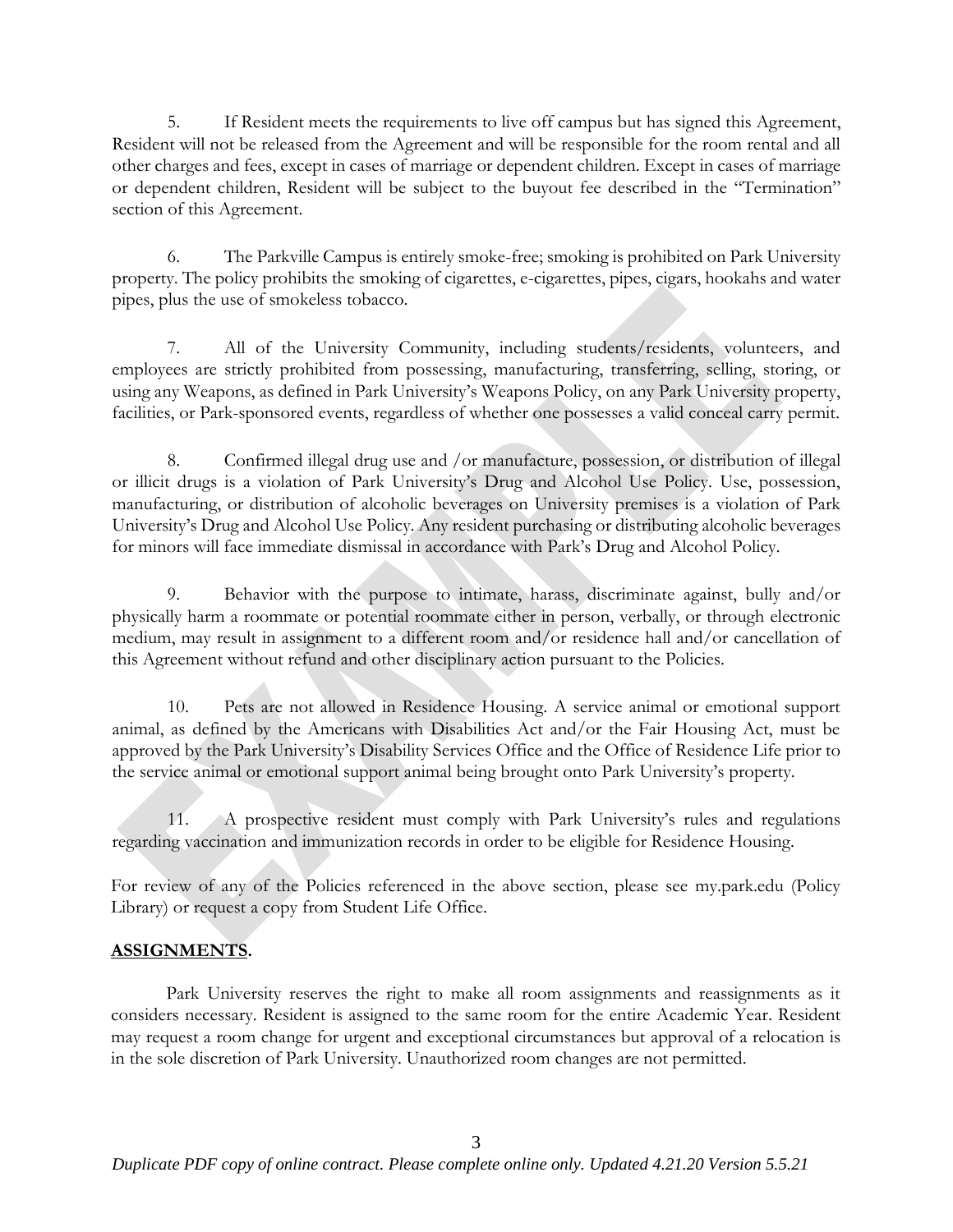5. If Resident meets the requirements to live off campus but has signed this Agreement, Resident will not be released from the Agreement and will be responsible for the room rental and all other charges and fees, except in cases of marriage or dependent children. Except in cases of marriage or dependent children, Resident will be subject to the buyout fee described in the "Termination" section of this Agreement.

6. The Parkville Campus is entirely smoke-free; smoking is prohibited on Park University property. The policy prohibits the smoking of cigarettes, e-cigarettes, pipes, cigars, hookahs and water pipes, plus the use of smokeless tobacco.

7. All of the University Community, including students/residents, volunteers, and employees are strictly prohibited from possessing, manufacturing, transferring, selling, storing, or using any Weapons, as defined in Park University's Weapons Policy, on any Park University property, facilities, or Park-sponsored events, regardless of whether one possesses a valid conceal carry permit.

8. Confirmed illegal drug use and /or manufacture, possession, or distribution of illegal or illicit drugs is a violation of Park University's Drug and Alcohol Use Policy. Use, possession, manufacturing, or distribution of alcoholic beverages on University premises is a violation of Park University's Drug and Alcohol Use Policy. Any resident purchasing or distributing alcoholic beverages for minors will face immediate dismissal in accordance with Park's Drug and Alcohol Policy.

9. Behavior with the purpose to intimate, harass, discriminate against, bully and/or physically harm a roommate or potential roommate either in person, verbally, or through electronic medium, may result in assignment to a different room and/or residence hall and/or cancellation of this Agreement without refund and other disciplinary action pursuant to the Policies.

10. Pets are not allowed in Residence Housing. A service animal or emotional support animal, as defined by the Americans with Disabilities Act and/or the Fair Housing Act, must be approved by the Park University's Disability Services Office and the Office of Residence Life prior to the service animal or emotional support animal being brought onto Park University's property.

11. A prospective resident must comply with Park University's rules and regulations regarding vaccination and immunization records in order to be eligible for Residence Housing.

For review of any of the Policies referenced in the above section, please see my.park.edu (Policy Library) or request a copy from Student Life Office.

# **ASSIGNMENTS.**

Park University reserves the right to make all room assignments and reassignments as it considers necessary. Resident is assigned to the same room for the entire Academic Year. Resident may request a room change for urgent and exceptional circumstances but approval of a relocation is in the sole discretion of Park University. Unauthorized room changes are not permitted.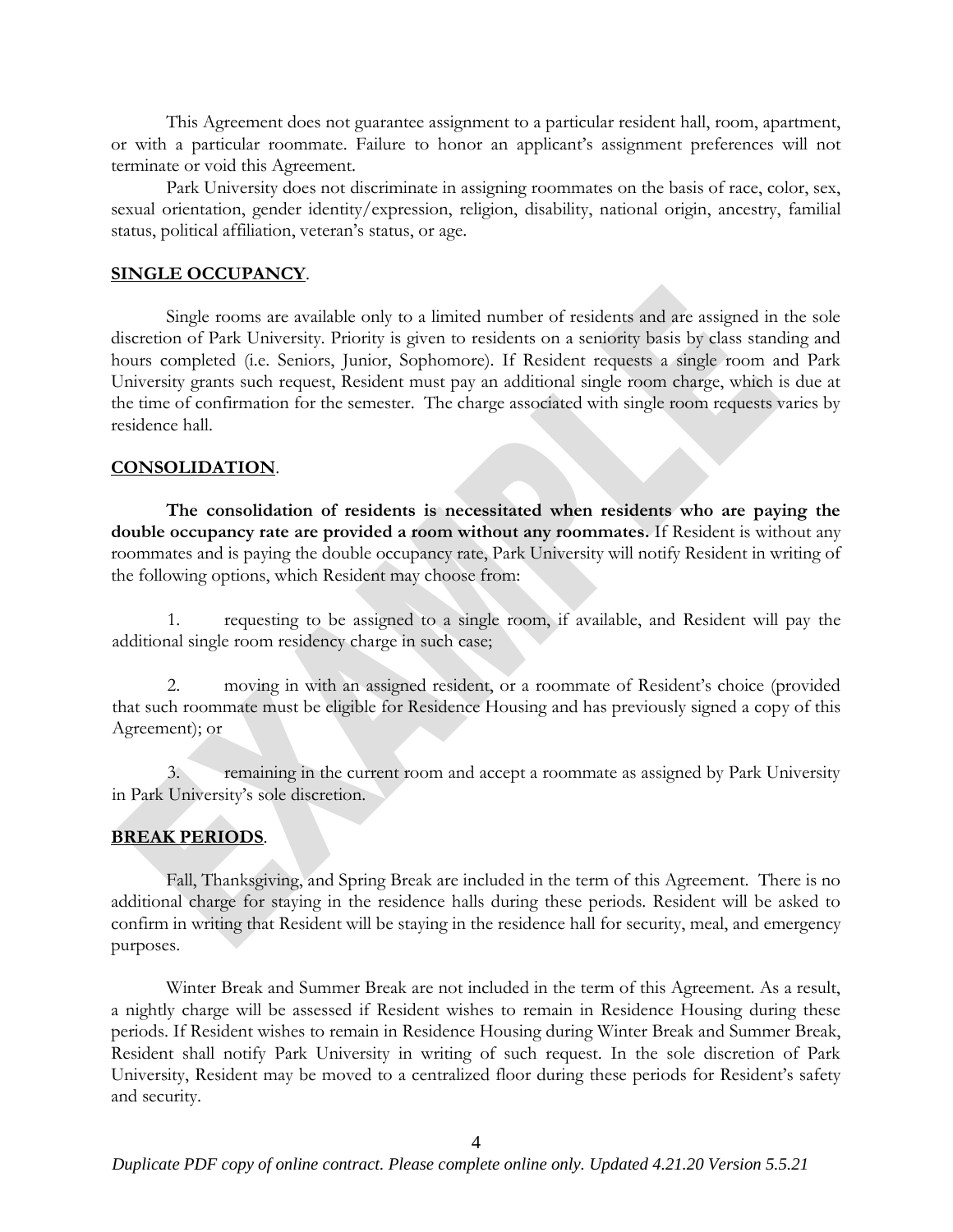This Agreement does not guarantee assignment to a particular resident hall, room, apartment, or with a particular roommate. Failure to honor an applicant's assignment preferences will not terminate or void this Agreement.

Park University does not discriminate in assigning roommates on the basis of race, color, sex, sexual orientation, gender identity/expression, religion, disability, national origin, ancestry, familial status, political affiliation, veteran's status, or age.

#### **SINGLE OCCUPANCY**.

Single rooms are available only to a limited number of residents and are assigned in the sole discretion of Park University. Priority is given to residents on a seniority basis by class standing and hours completed (i.e. Seniors, Junior, Sophomore). If Resident requests a single room and Park University grants such request, Resident must pay an additional single room charge, which is due at the time of confirmation for the semester. The charge associated with single room requests varies by residence hall.

#### **CONSOLIDATION**.

**The consolidation of residents is necessitated when residents who are paying the double occupancy rate are provided a room without any roommates.** If Resident is without any roommates and is paying the double occupancy rate, Park University will notify Resident in writing of the following options, which Resident may choose from:

1. requesting to be assigned to a single room, if available, and Resident will pay the additional single room residency charge in such case;

2. moving in with an assigned resident, or a roommate of Resident's choice (provided that such roommate must be eligible for Residence Housing and has previously signed a copy of this Agreement); or

3. remaining in the current room and accept a roommate as assigned by Park University in Park University's sole discretion.

# **BREAK PERIODS**.

Fall, Thanksgiving, and Spring Break are included in the term of this Agreement. There is no additional charge for staying in the residence halls during these periods. Resident will be asked to confirm in writing that Resident will be staying in the residence hall for security, meal, and emergency purposes.

Winter Break and Summer Break are not included in the term of this Agreement. As a result, a nightly charge will be assessed if Resident wishes to remain in Residence Housing during these periods. If Resident wishes to remain in Residence Housing during Winter Break and Summer Break, Resident shall notify Park University in writing of such request. In the sole discretion of Park University, Resident may be moved to a centralized floor during these periods for Resident's safety and security.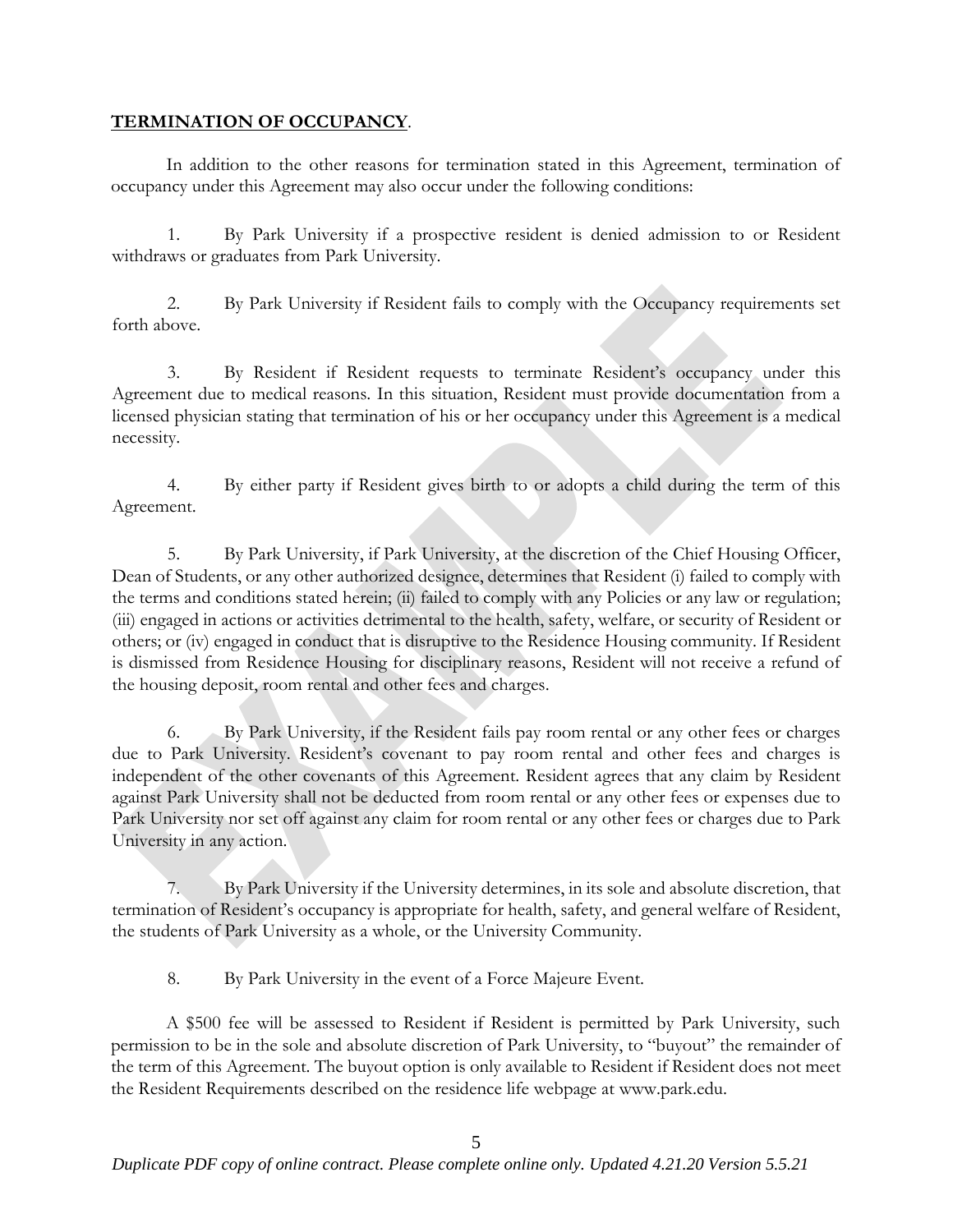### **TERMINATION OF OCCUPANCY**.

In addition to the other reasons for termination stated in this Agreement, termination of occupancy under this Agreement may also occur under the following conditions:

1. By Park University if a prospective resident is denied admission to or Resident withdraws or graduates from Park University.

2. By Park University if Resident fails to comply with the Occupancy requirements set forth above.

3. By Resident if Resident requests to terminate Resident's occupancy under this Agreement due to medical reasons. In this situation, Resident must provide documentation from a licensed physician stating that termination of his or her occupancy under this Agreement is a medical necessity.

4. By either party if Resident gives birth to or adopts a child during the term of this Agreement.

5. By Park University, if Park University, at the discretion of the Chief Housing Officer, Dean of Students, or any other authorized designee, determines that Resident (i) failed to comply with the terms and conditions stated herein; (ii) failed to comply with any Policies or any law or regulation; (iii) engaged in actions or activities detrimental to the health, safety, welfare, or security of Resident or others; or (iv) engaged in conduct that is disruptive to the Residence Housing community. If Resident is dismissed from Residence Housing for disciplinary reasons, Resident will not receive a refund of the housing deposit, room rental and other fees and charges.

6. By Park University, if the Resident fails pay room rental or any other fees or charges due to Park University. Resident's covenant to pay room rental and other fees and charges is independent of the other covenants of this Agreement. Resident agrees that any claim by Resident against Park University shall not be deducted from room rental or any other fees or expenses due to Park University nor set off against any claim for room rental or any other fees or charges due to Park University in any action.

7. By Park University if the University determines, in its sole and absolute discretion, that termination of Resident's occupancy is appropriate for health, safety, and general welfare of Resident, the students of Park University as a whole, or the University Community.

8. By Park University in the event of a Force Majeure Event.

A \$500 fee will be assessed to Resident if Resident is permitted by Park University, such permission to be in the sole and absolute discretion of Park University, to "buyout" the remainder of the term of this Agreement. The buyout option is only available to Resident if Resident does not meet the Resident Requirements described on the residence life webpage at www.park.edu.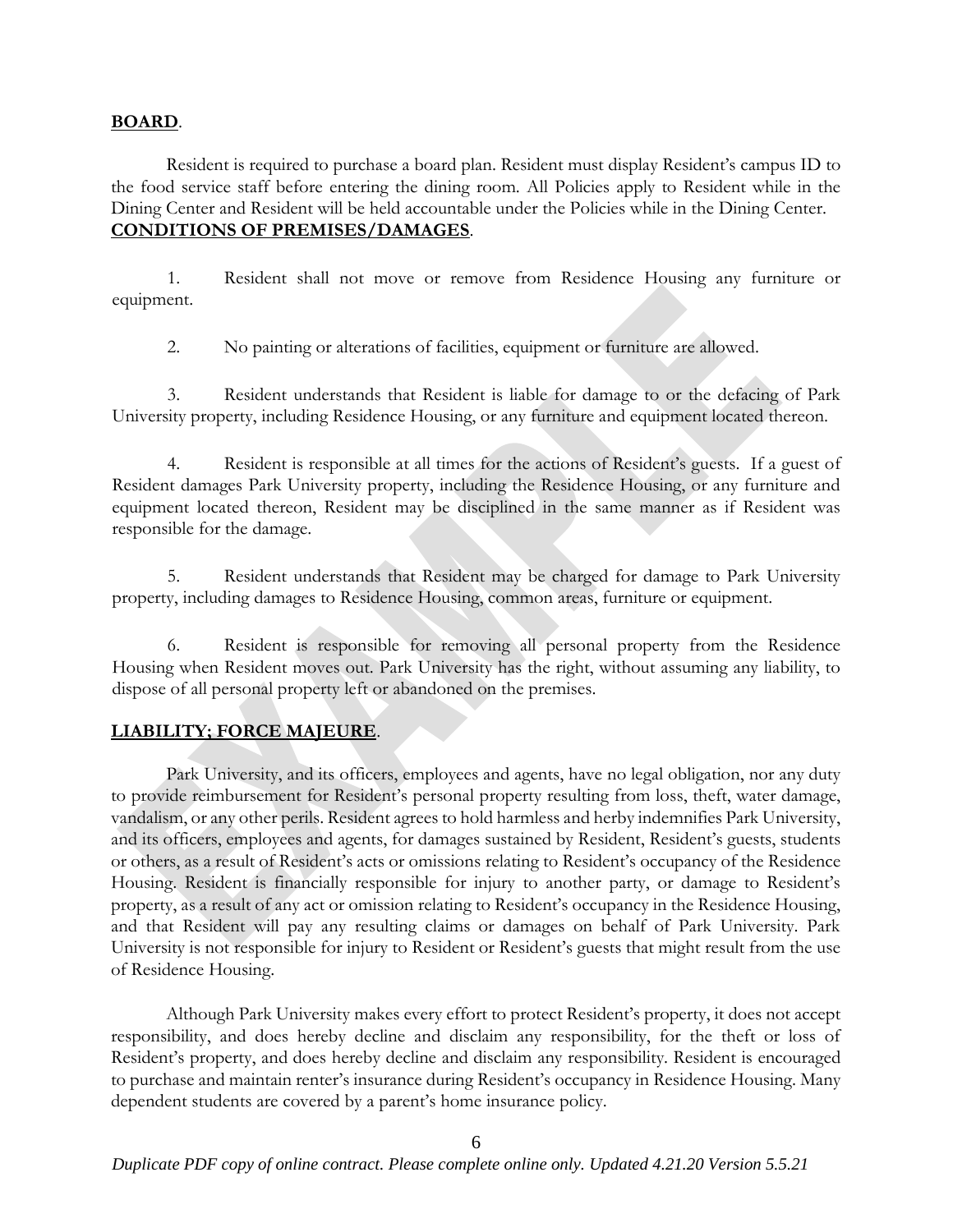### **BOARD**.

Resident is required to purchase a board plan. Resident must display Resident's campus ID to the food service staff before entering the dining room. All Policies apply to Resident while in the Dining Center and Resident will be held accountable under the Policies while in the Dining Center. **CONDITIONS OF PREMISES/DAMAGES**.

1. Resident shall not move or remove from Residence Housing any furniture or equipment.

2. No painting or alterations of facilities, equipment or furniture are allowed.

3. Resident understands that Resident is liable for damage to or the defacing of Park University property, including Residence Housing, or any furniture and equipment located thereon.

4. Resident is responsible at all times for the actions of Resident's guests. If a guest of Resident damages Park University property, including the Residence Housing, or any furniture and equipment located thereon, Resident may be disciplined in the same manner as if Resident was responsible for the damage.

5. Resident understands that Resident may be charged for damage to Park University property, including damages to Residence Housing, common areas, furniture or equipment.

6. Resident is responsible for removing all personal property from the Residence Housing when Resident moves out. Park University has the right, without assuming any liability, to dispose of all personal property left or abandoned on the premises.

# **LIABILITY; FORCE MAJEURE**.

Park University, and its officers, employees and agents, have no legal obligation, nor any duty to provide reimbursement for Resident's personal property resulting from loss, theft, water damage, vandalism, or any other perils. Resident agrees to hold harmless and herby indemnifies Park University, and its officers, employees and agents, for damages sustained by Resident, Resident's guests, students or others, as a result of Resident's acts or omissions relating to Resident's occupancy of the Residence Housing. Resident is financially responsible for injury to another party, or damage to Resident's property, as a result of any act or omission relating to Resident's occupancy in the Residence Housing, and that Resident will pay any resulting claims or damages on behalf of Park University. Park University is not responsible for injury to Resident or Resident's guests that might result from the use of Residence Housing.

Although Park University makes every effort to protect Resident's property, it does not accept responsibility, and does hereby decline and disclaim any responsibility, for the theft or loss of Resident's property, and does hereby decline and disclaim any responsibility. Resident is encouraged to purchase and maintain renter's insurance during Resident's occupancy in Residence Housing. Many dependent students are covered by a parent's home insurance policy.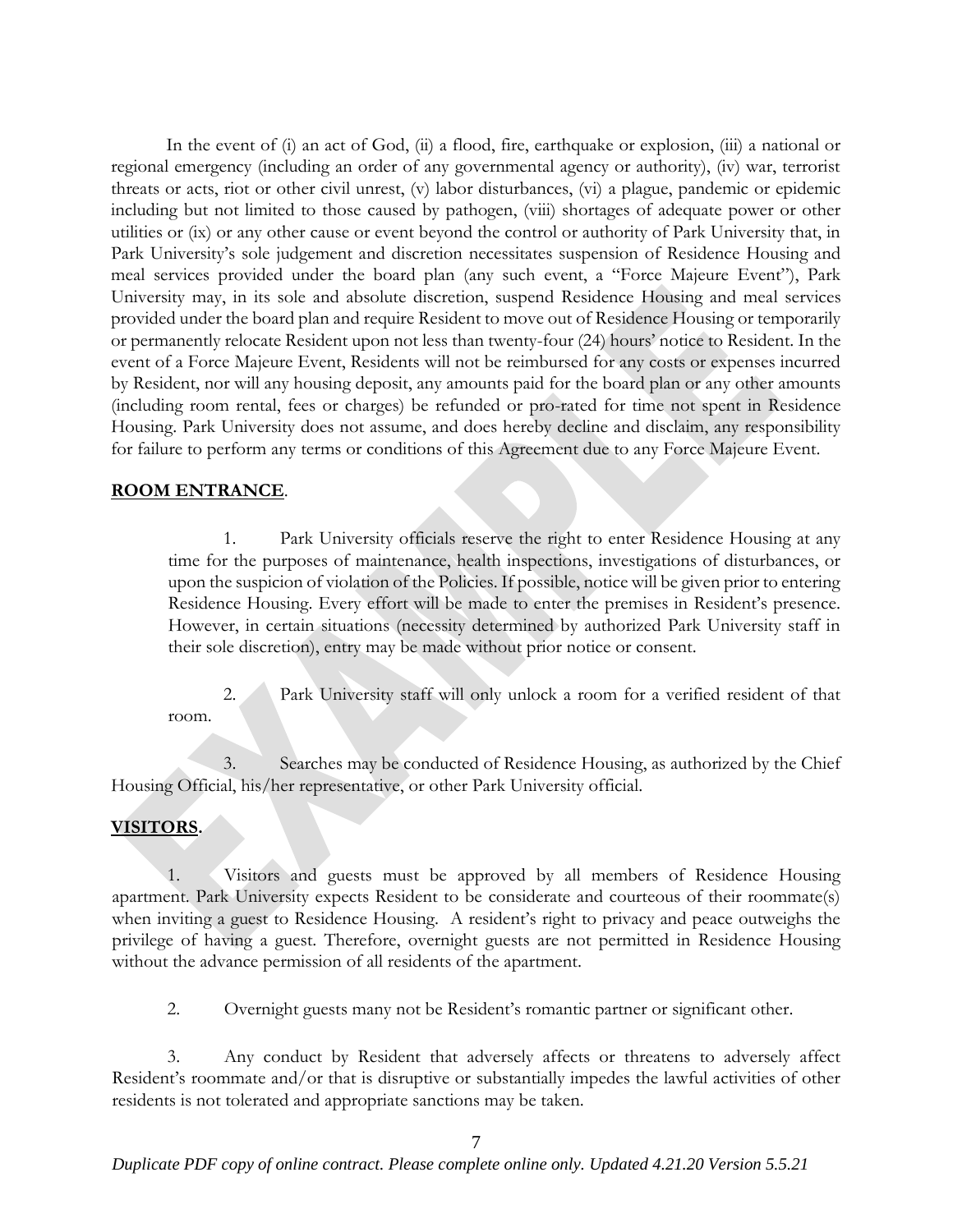In the event of (i) an act of God, (ii) a flood, fire, earthquake or explosion, (iii) a national or regional emergency (including an order of any governmental agency or authority), (iv) war, terrorist threats or acts, riot or other civil unrest, (v) labor disturbances, (vi) a plague, pandemic or epidemic including but not limited to those caused by pathogen, (viii) shortages of adequate power or other utilities or (ix) or any other cause or event beyond the control or authority of Park University that, in Park University's sole judgement and discretion necessitates suspension of Residence Housing and meal services provided under the board plan (any such event, a "Force Majeure Event"), Park University may, in its sole and absolute discretion, suspend Residence Housing and meal services provided under the board plan and require Resident to move out of Residence Housing or temporarily or permanently relocate Resident upon not less than twenty-four (24) hours' notice to Resident. In the event of a Force Majeure Event, Residents will not be reimbursed for any costs or expenses incurred by Resident, nor will any housing deposit, any amounts paid for the board plan or any other amounts (including room rental, fees or charges) be refunded or pro-rated for time not spent in Residence Housing. Park University does not assume, and does hereby decline and disclaim, any responsibility for failure to perform any terms or conditions of this Agreement due to any Force Majeure Event.

#### **ROOM ENTRANCE**.

1. Park University officials reserve the right to enter Residence Housing at any time for the purposes of maintenance, health inspections, investigations of disturbances, or upon the suspicion of violation of the Policies. If possible, notice will be given prior to entering Residence Housing. Every effort will be made to enter the premises in Resident's presence. However, in certain situations (necessity determined by authorized Park University staff in their sole discretion), entry may be made without prior notice or consent.

2. Park University staff will only unlock a room for a verified resident of that room.

3. Searches may be conducted of Residence Housing, as authorized by the Chief Housing Official, his/her representative, or other Park University official.

# **VISITORS.**

1. Visitors and guests must be approved by all members of Residence Housing apartment. Park University expects Resident to be considerate and courteous of their roommate(s) when inviting a guest to Residence Housing. A resident's right to privacy and peace outweighs the privilege of having a guest. Therefore, overnight guests are not permitted in Residence Housing without the advance permission of all residents of the apartment.

2. Overnight guests many not be Resident's romantic partner or significant other.

3. Any conduct by Resident that adversely affects or threatens to adversely affect Resident's roommate and/or that is disruptive or substantially impedes the lawful activities of other residents is not tolerated and appropriate sanctions may be taken.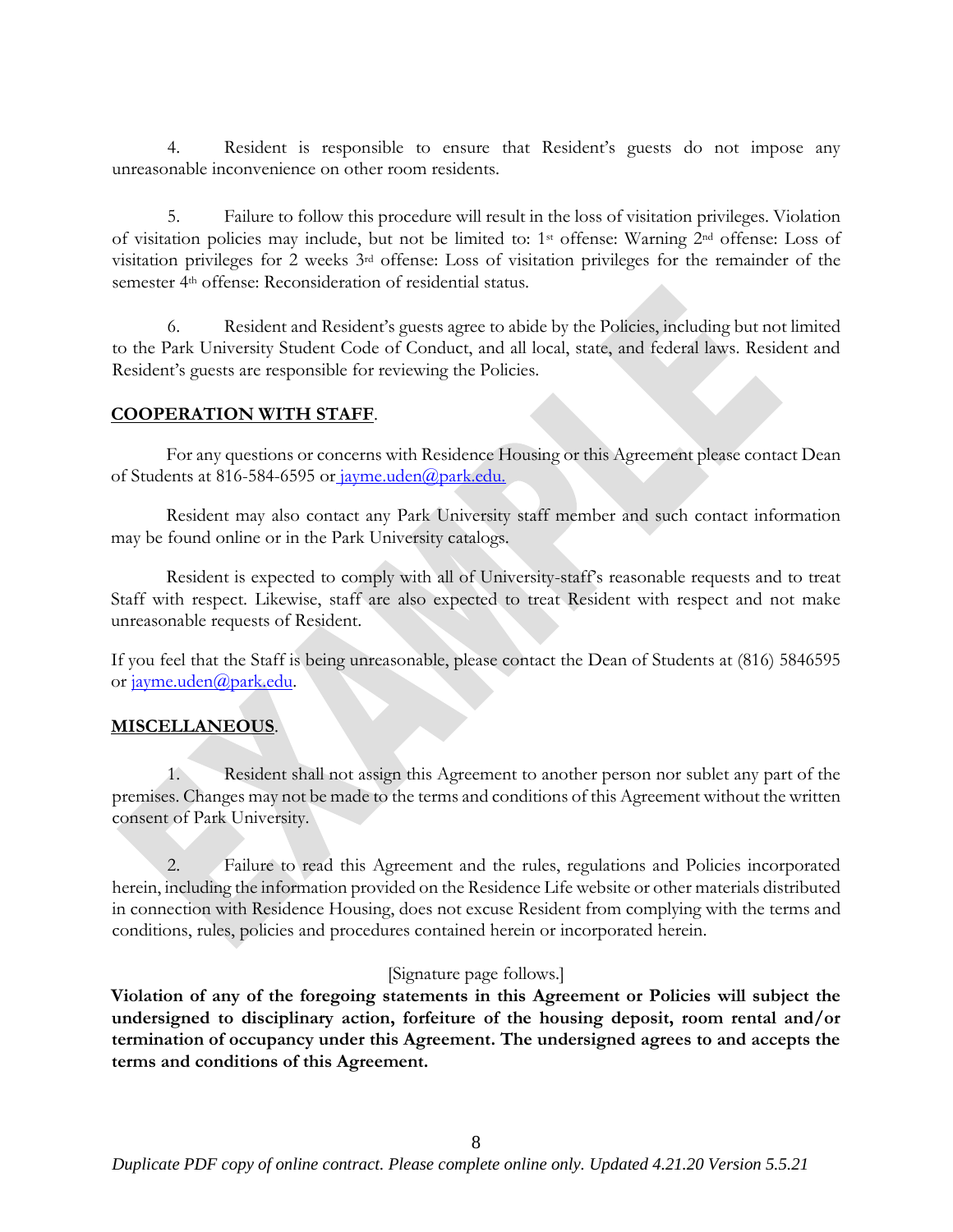4. Resident is responsible to ensure that Resident's guests do not impose any unreasonable inconvenience on other room residents.

5. Failure to follow this procedure will result in the loss of visitation privileges. Violation of visitation policies may include, but not be limited to: 1st offense: Warning 2nd offense: Loss of visitation privileges for 2 weeks 3rd offense: Loss of visitation privileges for the remainder of the semester 4th offense: Reconsideration of residential status.

6. Resident and Resident's guests agree to abide by the Policies, including but not limited to the Park University Student Code of Conduct, and all local, state, and federal laws. Resident and Resident's guests are responsible for reviewing the Policies.

# **COOPERATION WITH STAFF**.

For any questions or concerns with Residence Housing or this Agreement please contact Dean of Students at 816-584-6595 or jayme.uden@park.edu.

Resident may also contact any Park University staff member and such contact information may be found online or in the Park University catalogs.

Resident is expected to comply with all of University-staff's reasonable requests and to treat Staff with respect. Likewise, staff are also expected to treat Resident with respect and not make unreasonable requests of Resident.

If you feel that the Staff is being unreasonable, please contact the Dean of Students at (816) 5846595 or jayme.uden@park.edu.

# **MISCELLANEOUS**.

1. Resident shall not assign this Agreement to another person nor sublet any part of the premises. Changes may not be made to the terms and conditions of this Agreement without the written consent of Park University.

2. Failure to read this Agreement and the rules, regulations and Policies incorporated herein, including the information provided on the Residence Life website or other materials distributed in connection with Residence Housing, does not excuse Resident from complying with the terms and conditions, rules, policies and procedures contained herein or incorporated herein.

# [Signature page follows.]

**Violation of any of the foregoing statements in this Agreement or Policies will subject the undersigned to disciplinary action, forfeiture of the housing deposit, room rental and/or termination of occupancy under this Agreement. The undersigned agrees to and accepts the terms and conditions of this Agreement.**